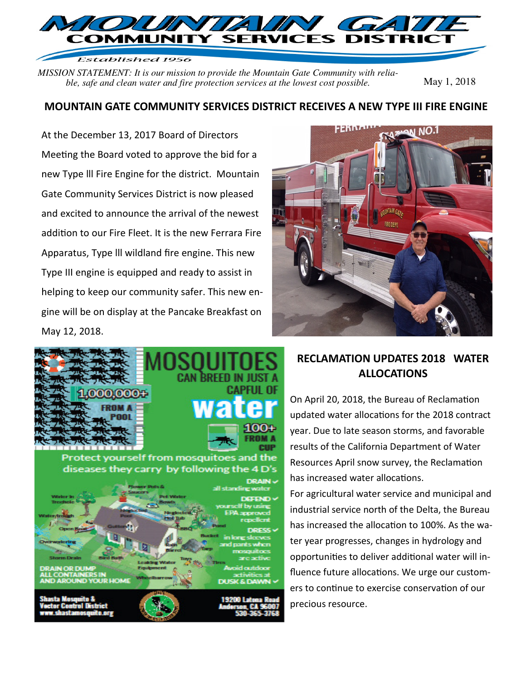

Established 1956

*MISSION STATEMENT: It is our mission to provide the Mountain Gate Community with reliable, safe and clean water and fire protection services at the lowest cost possible.* May 1, 2018

#### **MOUNTAIN GATE COMMUNITY SERVICES DISTRICT RECEIVES A NEW TYPE III FIRE ENGINE**

At the December 13, 2017 Board of Directors Meeting the Board voted to approve the bid for a new Type lll Fire Engine for the district. Mountain Gate Community Services District is now pleased and excited to announce the arrival of the newest addition to our Fire Fleet. It is the new Ferrara Fire Apparatus, Type lll wildland fire engine. This new Type III engine is equipped and ready to assist in helping to keep our community safer. This new engine will be on display at the Pancake Breakfast on May 12, 2018.





### **RECLAMATION UPDATES 2018 WATER ALLOCATIONS**

On April 20, 2018, the Bureau of Reclamation updated water allocations for the 2018 contract year. Due to late season storms, and favorable results of the California Department of Water Resources April snow survey, the Reclamation has increased water allocations.

For agricultural water service and municipal and industrial service north of the Delta, the Bureau has increased the allocation to 100%. As the water year progresses, changes in hydrology and opportunities to deliver additional water will influence future allocations. We urge our customers to continue to exercise conservation of our precious resource.